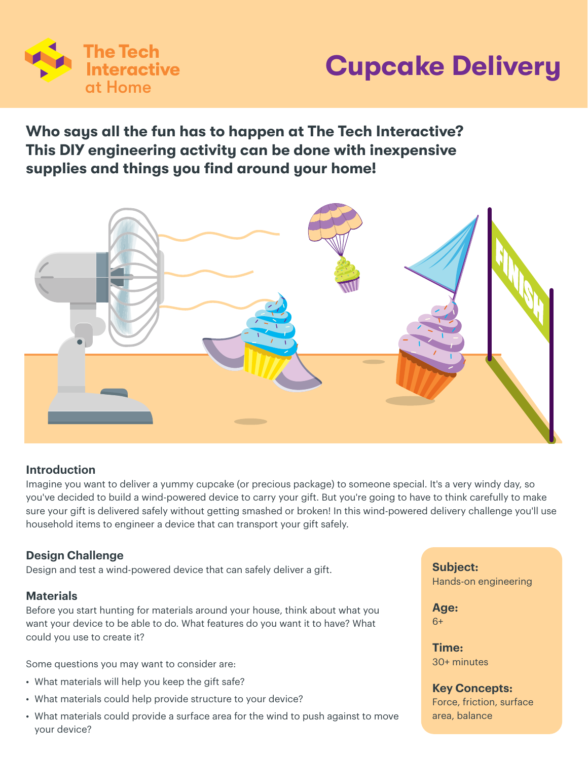



#### **Who says all the fun has to happen at The Tech Interactive? This DIY engineering activity can be done with inexpensive supplies and things you find around your home!**



#### **Introduction**

Imagine you want to deliver a yummy cupcake (or precious package) to someone special. It's a very windy day, so you've decided to build a wind-powered device to carry your gift. But you're going to have to think carefully to make sure your gift is delivered safely without getting smashed or broken! In this wind-powered delivery challenge you'll use household items to engineer a device that can transport your gift safely.

#### **Design Challenge**

Design and test a wind-powered device that can safely deliver a gift.

#### **Materials**

Before you start hunting for materials around your house, think about what you want your device to be able to do. What features do you want it to have? What could you use to create it?

Some questions you may want to consider are:

- What materials will help you keep the gift safe?
- What materials could help provide structure to your device?
- What materials could provide a surface area for the wind to push against to move your device?

**Subject:**  Hands-on engineering

**Age:**   $6+$ 

**Time:**  30+ minutes

**Key Concepts:** Force, friction, surface area, balance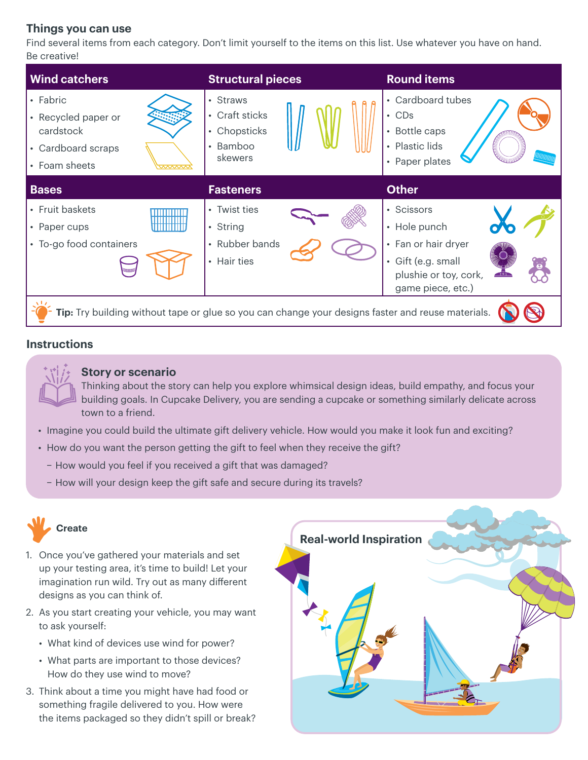#### **Things you can use**

Find several items from each category. Don't limit yourself to the items on this list. Use whatever you have on hand. Be creative!

| <b>Wind catchers</b>                                                                                | <b>Structural pieces</b>                                          | <b>Round items</b>                                                                                                    |
|-----------------------------------------------------------------------------------------------------|-------------------------------------------------------------------|-----------------------------------------------------------------------------------------------------------------------|
| • Fabric<br>• Recycled paper or<br>cardstock<br>• Cardboard scraps<br>• Foam sheets<br><del>灬</del> | • Straws<br>• Craft sticks<br>• Chopsticks<br>• Bamboo<br>skewers | • Cardboard tubes<br>$\cdot$ CDs<br>• Bottle caps<br>• Plastic lids<br>• Paper plates                                 |
| <b>Bases</b>                                                                                        | <b>Fasteners</b>                                                  | <b>Other</b>                                                                                                          |
| • Fruit baskets<br>• Paper cups<br>,,,,,,,,,,,<br>• To-go food containers                           | • Twist ties<br>• String<br>• Rubber bands<br>• Hair ties         | • Scissors<br>• Hole punch<br>• Fan or hair dryer<br>· Gift (e.g. small<br>plushie or toy, cork,<br>game piece, etc.) |
| Tip: Try building without tape or glue so you can change your designs faster and reuse materials.   |                                                                   |                                                                                                                       |

#### **Instructions**



#### **Story or scenario**

Thinking about the story can help you explore whimsical design ideas, build empathy, and focus your building goals. In Cupcake Delivery, you are sending a cupcake or something similarly delicate across town to a friend.

- Imagine you could build the ultimate gift delivery vehicle. How would you make it look fun and exciting?
- How do you want the person getting the gift to feel when they receive the gift?
	- − How would you feel if you received a gift that was damaged?
	- − How will your design keep the gift safe and secure during its travels?



- 1. Once you've gathered your materials and set up your testing area, it's time to build! Let your imagination run wild. Try out as many different designs as you can think of.
- 2. As you start creating your vehicle, you may want to ask yourself:
	- What kind of devices use wind for power?
	- What parts are important to those devices? How do they use wind to move?
- 3. Think about a time you might have had food or something fragile delivered to you. How were the items packaged so they didn't spill or break?

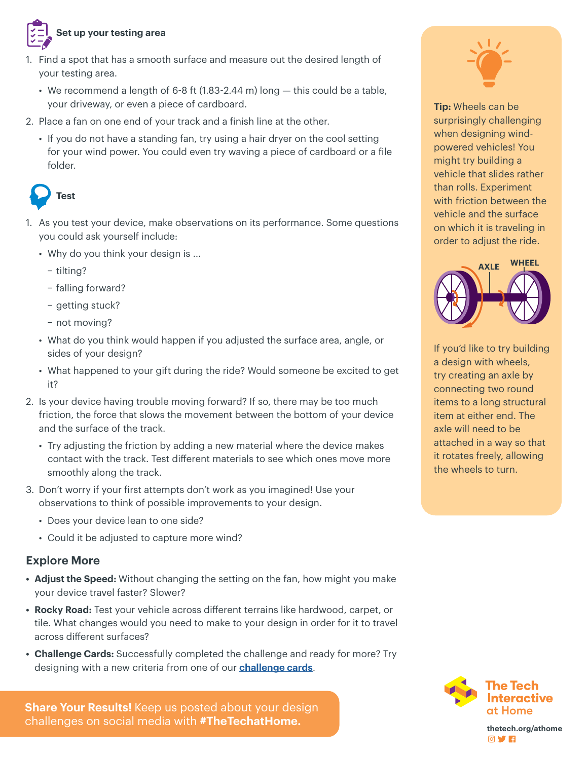

- 1. Find a spot that has a smooth surface and measure out the desired length of your testing area.
	- We recommend a length of 6-8 ft (1.83-2.44 m) long this could be a table, your driveway, or even a piece of cardboard.
- 2. Place a fan on one end of your track and a finish line at the other.
	- If you do not have a standing fan, try using a hair dryer on the cool setting for your wind power. You could even try waving a piece of cardboard or a file folder.

## **Test**

- 1. As you test your device, make observations on its performance. Some questions you could ask yourself include:
	- Why do you think your design is ...
		- − tilting?
		- − falling forward?
		- − getting stuck?
		- − not moving?
	- What do you think would happen if you adjusted the surface area, angle, or sides of your design?
	- What happened to your gift during the ride? Would someone be excited to get it?
- 2. Is your device having trouble moving forward? If so, there may be too much friction, the force that slows the movement between the bottom of your device and the surface of the track.
	- Try adjusting the friction by adding a new material where the device makes contact with the track. Test different materials to see which ones move more smoothly along the track.
- 3. Don't worry if your first attempts don't work as you imagined! Use your observations to think of possible improvements to your design.
	- Does your device lean to one side?
	- Could it be adjusted to capture more wind?

#### **Explore More**

- **• Adjust the Speed:** Without changing the setting on the fan, how might you make your device travel faster? Slower?
- **• Rocky Road:** Test your vehicle across different terrains like hardwood, carpet, or tile. What changes would you need to make to your design in order for it to travel across different surfaces?
- **• Challenge Cards:** Successfully completed the challenge and ready for more? Try designing with a new criteria from one of our **[challenge cards](#page-3-0)**.

**Share Your Results!** Keep us posted about your design challenges on social media with **#TheTechatHome.**



**Tip:** Wheels can be surprisingly challenging when designing windpowered vehicles! You might try building a vehicle that slides rather than rolls. Experiment with friction between the vehicle and the surface with friction between the<br>vehicle and the surface<br>on which it is traveling in order to adjust the ride.



If you'd like to try building a design with wheels, try creating an axle by connecting two round items to a long structural item at either end. The axle will need to be attached in a way so that it rotates freely, allowing the wheels to turn.  $\frac{1}{2}$